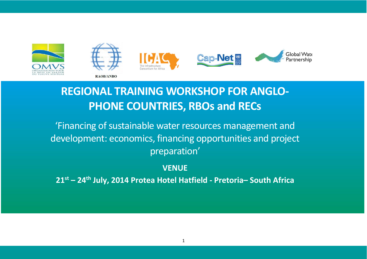

# **REGIONAL TRAINING WORKSHOP FOR ANGLO-PHONE COUNTRIES, RBOs and RECs**

'Financing of sustainable water resources management and development: economics, financing opportunities and project preparation'

**VENUE**

**21st – 24th July, 2014 Protea Hotel Hatfield - Pretoria– South Africa**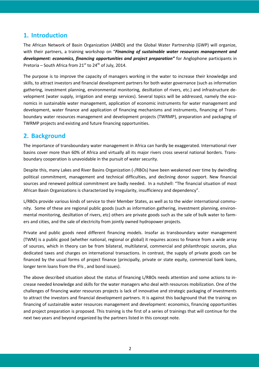#### **1. Introduction**

The African Network of Basin Organization (ANBO) and the Global Water Partnership (GWP) will organize, with their partners, a training workshop on "*Financing of sustainable water resources management and development: economics, financing opportunities and project preparation"* for Anglophone participants in Pretoria – South Africa from  $21^{st}$  to  $24^{th}$  of July, 2014.

The purpose is to improve the capacity of managers working in the water to increase their knowledge and skills, to attract investors and financial development partners for both water governance (such as information gathering, investment planning, environmental monitoring, desiltation of rivers, etc.) and infrastructure development (water supply, irrigation and energy services). Several topics will be addressed, namely the economics in sustainable water management, application of economic instruments for water management and development, water finance and application of financing mechanisms and instruments, financing of Transboundary water resources management and development projects (TWRMP), preparation and packaging of TWRMP projects and existing and future financing opportunities.

#### **2. Background**

The importance of transboundary water management in Africa can hardly be exaggerated. International river basins cover more than 60% of Africa and virtually all its major rivers cross several national borders. Transboundary cooperation is unavoidable in the pursuit of water security.

Despite this, many Lakes and River Basins Organization (-/RBOs) have been weakened over time by dwindling political commitment, management and technical difficulties, and declining donor support. New financial sources and renewed political commitment are badly needed. In a nutshell: "The financial situation of most African Basin Organizations is characterized by irregularity, insufficiency and dependency".

L/RBOs provide various kinds of service to their Member States, as well as to the wider international community. Some of these are regional public goods (such as information gathering, investment planning, environmental monitoring, desiltation of rivers, etc) others are private goods such as the sale of bulk water to farmers and cities, and the sale of electricity from jointly owned hydropower projects.

Private and public goods need different financing models. Insofar as transboundary water management (TWM) is a public good (whether national, regional or global) it requires access to finance from a wide array of sources, which in theory can be from bilateral, multilateral, commercial and philanthropic sources, plus dedicated taxes and charges on international transactions. In contrast, the supply of private goods can be financed by the usual forms of project finance (principally, private or state equity, commercial bank loans, longer term loans from the IFIs , and bond issues).

The above described situation about the status of financing L/RBOs needs attention and some actions to increase needed knowledge and skills for the water managers who deal with resources mobilization. One of the challenges of financing water resources projects is lack of innovative and strategic packaging of investments to attract the investors and financial development partners. It is against this background that the training on financing of sustainable water resources management and development: economics, financing opportunities and project preparation is proposed. This training is the first of a series of trainings that will continue for the next two years and beyond organized by the partners listed in this concept note.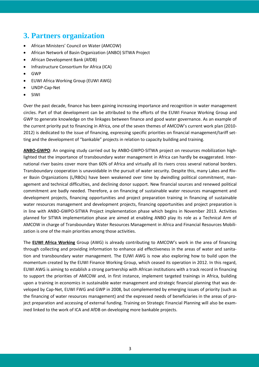## **3. Partners organization**

- African Ministers' Council on Water (AMCOW)
- African Network of Basin Organization (ANBO) SITWA Project
- African Development Bank (AfDB)
- Infrastructure Consortium for Africa (ICA)
- GWP
- EUWI Africa Working Group (EUWI AWG)
- UNDP-Cap-Net
- SIWI

Over the past decade, finance has been gaining increasing importance and recognition in water management circles. Part of that development can be attributed to the efforts of the EUWI Finance Working Group and GWP to generate knowledge on the linkages between finance and good water governance. As an example of the current priority put to financing in Africa, one of the seven themes of AMCOW's current work plan (2010- 2012) is dedicated to the issue of financing, expressing specific priorities on financial management/tariff setting and the development of "bankable" projects in relation to capacity building and training.

**ANBO-GWPO**: An ongoing study carried out by ANBO-GWPO-SITWA project on resources mobilization highlighted that the importance of transboundary water management in Africa can hardly be exaggerated. International river basins cover more than 60% of Africa and virtually all its rivers cross several national borders. Transboundary cooperation is unavoidable in the pursuit of water security. Despite this, many Lakes and River Basin Organizations (L/RBOs) have been weakened over time by dwindling political commitment, management and technical difficulties, and declining donor support. New financial sources and renewed political commitment are badly needed. Therefore, a on financing of sustainable water resources management and development projects, financing opportunities and project preparation training in financing of sustainable water resources management and development projects, financing opportunities and project preparation is in line with ANBO-GWPO-SITWA Project implementation phase which begins in November 2013. Activities planned for SITWA implementation phase are aimed at enabling ANBO play its role as a Technical Arm of AMCOW in charge of Transboundary Water Resources Management in Africa and Financial Resources Mobilization is one of the main priorities among those activities.

The **EUWI Africa Working** Group (AWG) is already contributing to AMCOW's work in the area of financing through collecting and providing information to enhance aid effectiveness in the areas of water and sanitation and transboundary water management. The EUWI AWG is now also exploring how to build upon the momentum created by the EUWI Finance Working Group, which ceased its operation in 2012. In this regard, EUWI AWG is aiming to establish a strong partnership with African institutions with a track record in financing to support the priorities of AMCOW and, in first instance, implement targeted trainings in Africa, building upon a training in economics in sustainable water management and strategic financial planning that was developed by Cap-Net, EUWI FWG and GWP in 2008, but complemented by emerging issues of priority (such as the financing of water resources management) and the expressed needs of beneficiaries in the areas of project preparation and accessing of external funding. Training on Strategic Financial Planning will also be examined linked to the work of ICA and AfDB on developing more bankable projects.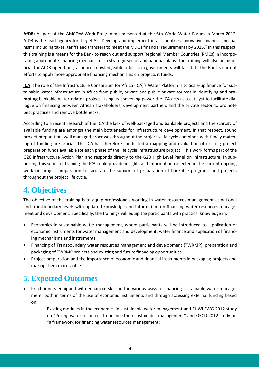**AfDB:** As part of the AMCOW Work Programme presented at the 6th World Water Forum in March 2012, AfDB is the lead agency for Target 5: "Develop and implement in all countries innovative financial mechanisms including taxes, tariffs and transfers to meet the MDGs financial requirements by 2015." In this respect, this training is a means for the Bank to reach out and support Regional Member Countries (RMCs) in incorporating appropriate financing mechanisms in strategic sector and national plans. The training will also be beneficial for AfDB operations, as more knowledgeable officials in governments will facilitate the Bank's current efforts to apply more appropriate financing mechanisms on projects it funds.

**ICA**: The role of the Infrastructure Consortium for Africa (ICA)'s Water Platform is to Scale-up finance for sustainable water infrastructure in Africa from public, private and public-private sources in identifying and **promoting** bankable water-related project. Using its convening power the ICA acts as a catalyst to facilitate dialogue on financing between African stakeholders, development partners and the private sector to promote best practices and remove bottlenecks.

According to a recent research of the ICA the lack of well-packaged and bankable projects and the scarcity of available funding are amongst the main bottlenecks for infrastructure development. In that respect, sound project preparation, well managed processes throughout the project's life cycle combined with timely matching of funding are crucial. The ICA has therefore conducted a mapping and evaluation of existing project preparation funds available for each phase of the life cycle infrastructure project. This work forms part of the G20 Infrastructure Action Plan and responds directly to the G20 High Level Panel on Infrastructure. In supporting this series of training the ICA could provide insights and information collected in the current ongoing work on project preparation to facilitate the support of preparation of bankable programs and projects throughout the project life cycle.

## **4. Objectives**

The objective of the training is to equip professionals working in water resources management at national and transboundary levels with updated knowledge and information on financing water resources management and development. Specifically, the trainings will equip the participants with practical knowledge in:

- Economics in sustainable water management, where participants will be introduced to application of economic instruments for water management and development; water finance and application of financing mechanisms and instruments;
- Financing of Transboundary water resources management and development (TWRMP): preparation and packaging of TWRMP projects and existing and future financing opportunities.
- Project preparation and the importance of economic and financial instruments in packaging projects and making them more viable

## **5. Expected Outcomes**

- Practitioners equipped with enhanced skills in the various ways of financing sustainable water management, both in terms of the use of economic instruments and through accessing external funding based on:
	- Existing modules in the economics in sustainable water management and EUWI FWG 2012 study on "Pricing water resources to finance their sustainable management" and OECD 2012 study on "a framework for financing water resources management;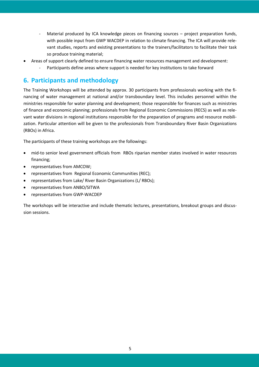- Material produced by ICA knowledge pieces on financing sources project preparation funds, with possible input from GWP WACDEP in relation to climate financing. The ICA will provide relevant studies, reports and existing presentations to the trainers/facilitators to facilitate their task so produce training material;
- Areas of support clearly defined to ensure financing water resources management and development:
	- Participants define areas where support is needed for key institutions to take forward

#### **6. Participants and methodology**

The Training Workshops will be attended by approx. 30 participants from professionals working with the financing of water management at national and/or transboundary level. This includes personnel within the ministries responsible for water planning and development; those responsible for finances such as ministries of finance and economic planning; professionals from Regional Economic Commissions (RECS) as well as relevant water divisions in regional institutions responsible for the preparation of programs and resource mobilization. Particular attention will be given to the professionals from Transboundary River Basin Organizations (RBOs) in Africa.

The participants of these training workshops are the followings:

- mid-to senior level government officials from RBOs riparian member states involved in water resources financing;
- representatives from AMCOW;
- representatives from Regional Economic Communities (REC);
- representatives from Lake/ River Basin Organizations (L/ RBOs);
- representatives from ANBO/SITWA
- representatives from GWP-WACDEP

The workshops will be interactive and include thematic lectures, presentations, breakout groups and discussion sessions.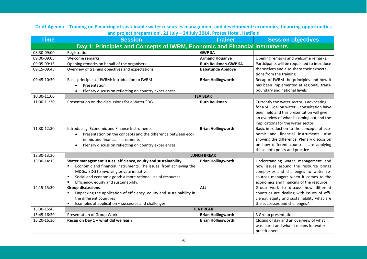**Draft Agenda – Training on Financing of sustainable water resources management and development: economics, financing opportunities and project preparation', 21 July – 24 July 2014, Protea Hotel, Hatfield**

| <b>Time</b>                                                                | <b>Session</b>                                                                                                              | <b>Trainer</b>             | <b>Session objectives</b>                                                       |  |  |
|----------------------------------------------------------------------------|-----------------------------------------------------------------------------------------------------------------------------|----------------------------|---------------------------------------------------------------------------------|--|--|
| Day 1: Principles and Concepts of IWRM, Economic and Financial instruments |                                                                                                                             |                            |                                                                                 |  |  |
| 08:30-09:00                                                                | Registration                                                                                                                | <b>GWP SA</b>              |                                                                                 |  |  |
| 09:00-09:05                                                                | Welcome remarks                                                                                                             | <b>Armand Houanye</b>      | Opening remarks and welcome remarks.                                            |  |  |
| 09:05-09:15                                                                | Opening remarks on behalf of the organisers                                                                                 | <b>Ruth Beukman-GWP SA</b> | Participants will be requested to introduce                                     |  |  |
| 09:15-09:45                                                                | Overview of training objectives and expectations                                                                            | <b>Babatunde Abidoye</b>   | themselves and also share their expecta-                                        |  |  |
|                                                                            |                                                                                                                             |                            | tions from the training                                                         |  |  |
| 09:45-10:30                                                                | Basic principles of IWRM: Introduction to IWRM                                                                              | <b>Brian Hollingworth</b>  | Recap of IWRM the principles and how it                                         |  |  |
|                                                                            | Presentation<br>$\bullet$                                                                                                   |                            | has been implemented at regional, trans-                                        |  |  |
|                                                                            | Plenary discussion reflecting on country experiences                                                                        |                            | boundary and national levels                                                    |  |  |
| 10:30-11:00                                                                |                                                                                                                             | <b>TEA BEAK</b>            |                                                                                 |  |  |
| 11:00-11:30                                                                | Presentation on the discussions for a Water SDG                                                                             | <b>Ruth Beukman</b>        | Currently the water sector is advocating                                        |  |  |
|                                                                            |                                                                                                                             |                            | for a SD Goal on water - consultation have                                      |  |  |
|                                                                            |                                                                                                                             |                            | been held and this presentation will give                                       |  |  |
|                                                                            |                                                                                                                             |                            | an overview of what is coming out and the                                       |  |  |
|                                                                            |                                                                                                                             |                            | implications for the water sector.                                              |  |  |
| 11:30-12:30                                                                | Introducing Economic and Finance Instruments                                                                                | <b>Brian Hollingworth</b>  | Basic introduction to the concepts of eco-                                      |  |  |
|                                                                            | Presentation on the concepts and the difference between eco-<br>$\bullet$                                                   |                            | nomic and financial instruments. Also                                           |  |  |
|                                                                            | nomic and financial instruments                                                                                             |                            | showing the difference. Plenary discussion                                      |  |  |
|                                                                            | Plenary discussion reflecting on country experiences                                                                        |                            | on how different countries are applying                                         |  |  |
|                                                                            |                                                                                                                             |                            | these both policy and practice.                                                 |  |  |
| 12:30-13:30                                                                |                                                                                                                             | <b>LUNCH BREAK</b>         |                                                                                 |  |  |
| 13:30-14:15                                                                | Water management issues: efficiency, equity and sustainability<br>$\blacksquare$                                            | <b>Brian Hollingworth</b>  | Understanding water management and                                              |  |  |
|                                                                            | Economic and financial instruments. The issues: from achieving the                                                          |                            | how issues around the resource brings                                           |  |  |
|                                                                            | MDGs/ SDG to involving private initiative.<br>Social and economic good: a more rational use of resources.<br>$\blacksquare$ |                            | complexity and challenges to water re-<br>sources managers when it comes to the |  |  |
|                                                                            | Efficiency, equity and sustainability.<br>$\blacksquare$                                                                    |                            | economics and financing of the resource.                                        |  |  |
| 14:15-15:30                                                                | <b>Group discussions</b>                                                                                                    | <b>ALL</b>                 | Group work to discuss how different                                             |  |  |
|                                                                            | Unpacking the application of efficiency, equity and sustainability in<br>$\blacksquare$                                     |                            | countries are dealing with issues of effi-                                      |  |  |
|                                                                            | the different countries                                                                                                     |                            | ciency, equity and sustainability what are                                      |  |  |
|                                                                            | Examples of application - successes and challenges<br>$\blacksquare$                                                        |                            | the successes and challenges?                                                   |  |  |
| 15:30-15:45                                                                | <b>TEA BREAK</b>                                                                                                            |                            |                                                                                 |  |  |
| 15:45-16:20                                                                | Presentation of Group Work                                                                                                  | <b>Brian Hollingworth</b>  | 3 Group presentations                                                           |  |  |
| 16:20-16:30                                                                | Recap on Day 1 - what did we learn                                                                                          | <b>Brian Hollingworth</b>  | Closing of day and an overview of what                                          |  |  |
|                                                                            |                                                                                                                             |                            | was learnt and what it means for water                                          |  |  |
|                                                                            |                                                                                                                             |                            | practitioners.                                                                  |  |  |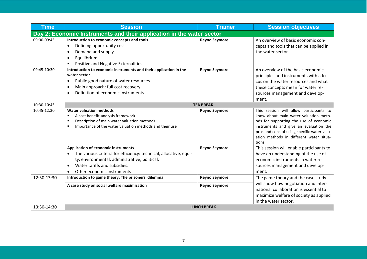| <b>Time</b>                                                           | <b>Session</b>                                                                                                                                                                                                                              | <b>Trainer</b>       | <b>Session objectives</b>                                                                                                                                                                                                                                               |  |
|-----------------------------------------------------------------------|---------------------------------------------------------------------------------------------------------------------------------------------------------------------------------------------------------------------------------------------|----------------------|-------------------------------------------------------------------------------------------------------------------------------------------------------------------------------------------------------------------------------------------------------------------------|--|
| Day 2: Economic Instruments and their application in the water sector |                                                                                                                                                                                                                                             |                      |                                                                                                                                                                                                                                                                         |  |
| 09:00-09:45                                                           | Introduction to economic concepts and tools<br>Defining opportunity cost<br>$\bullet$<br>Demand and supply<br>$\bullet$<br>Equilibrium<br>٠<br>Positive and Negative Externalities<br>٠                                                     | <b>Reyno Seymore</b> | An overview of basic economic con-<br>cepts and tools that can be applied in<br>the water sector.                                                                                                                                                                       |  |
| 09:45-10:30                                                           | Introduction to economic instruments and their application in the<br>water sector<br>Public-good nature of water resources<br>$\bullet$<br>Main approach: full cost recovery<br>٠<br>Definition of economic instruments                     | <b>Reyno Seymore</b> | An overview of the basic economic<br>principles and instruments with a fo-<br>cus on the water resources and what<br>these concepts mean for water re-<br>sources management and develop-<br>ment.                                                                      |  |
| 10:30-10:45                                                           | <b>TEA BREAK</b>                                                                                                                                                                                                                            |                      |                                                                                                                                                                                                                                                                         |  |
| 10:45-12:30                                                           | <b>Water valuation methods</b><br>A cost benefit-analysis framework<br>٠<br>Description of main water valuation methods<br>٠<br>Importance of the water valuation methods and their use<br>٠                                                | <b>Reyno Seymore</b> | This session will allow participants to<br>know about main water valuation meth-<br>ods for supporting the use of economic<br>instruments and give an evaluation the<br>pros and cons of using specific water valu-<br>ation methods in different water situa-<br>tions |  |
|                                                                       | <b>Application of economic instruments</b><br>The various criteria for efficiency: technical, allocative, equi-<br>ty, environmental, administrative, political.<br>Water tariffs and subsidies.<br>$\bullet$<br>Other economic instruments | <b>Reyno Seymore</b> | This session will enable participants to<br>have an understanding of the use of<br>economic instruments in water re-<br>sources management and develop-<br>ment.                                                                                                        |  |
| 12:30-13:30                                                           | Introduction to game theory: The prisoners' dilemma                                                                                                                                                                                         | <b>Reyno Seymore</b> | The game theory and the case study<br>will show how negotiation and inter-<br>national collaboration is essential to<br>maximize welfare of society as applied<br>in the water sector.                                                                                  |  |
|                                                                       | A case study on social welfare maximization                                                                                                                                                                                                 | <b>Reyno Seymore</b> |                                                                                                                                                                                                                                                                         |  |
| 13:30-14:30                                                           |                                                                                                                                                                                                                                             | <b>LUNCH BREAK</b>   |                                                                                                                                                                                                                                                                         |  |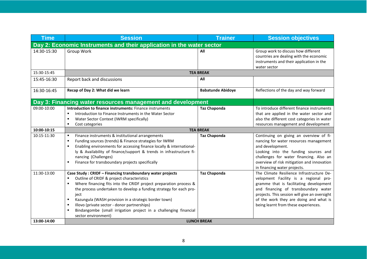| <b>Time</b>                                                           | <b>Session</b>                                                                                                                                                                                                                                                                                                                                                                                                                                                                                                                                                        | <b>Trainer</b>                                                 | <b>Session objectives</b>                                                                                                                                                                                                                                                                                                                                                                                                                               |  |
|-----------------------------------------------------------------------|-----------------------------------------------------------------------------------------------------------------------------------------------------------------------------------------------------------------------------------------------------------------------------------------------------------------------------------------------------------------------------------------------------------------------------------------------------------------------------------------------------------------------------------------------------------------------|----------------------------------------------------------------|---------------------------------------------------------------------------------------------------------------------------------------------------------------------------------------------------------------------------------------------------------------------------------------------------------------------------------------------------------------------------------------------------------------------------------------------------------|--|
| Day 2: Economic Instruments and their application in the water sector |                                                                                                                                                                                                                                                                                                                                                                                                                                                                                                                                                                       |                                                                |                                                                                                                                                                                                                                                                                                                                                                                                                                                         |  |
| 14:30-15:30                                                           | Group Work                                                                                                                                                                                                                                                                                                                                                                                                                                                                                                                                                            | All                                                            | Group work to discuss how different<br>countries are dealing with the economic<br>instruments and their application in the<br>water sector                                                                                                                                                                                                                                                                                                              |  |
| 15:30-15:45                                                           |                                                                                                                                                                                                                                                                                                                                                                                                                                                                                                                                                                       | <b>TEA BREAK</b>                                               |                                                                                                                                                                                                                                                                                                                                                                                                                                                         |  |
| 15:45-16:30                                                           | Report back and discussions                                                                                                                                                                                                                                                                                                                                                                                                                                                                                                                                           | All                                                            |                                                                                                                                                                                                                                                                                                                                                                                                                                                         |  |
| 16:30-16:45                                                           | Recap of Day 2: What did we learn                                                                                                                                                                                                                                                                                                                                                                                                                                                                                                                                     | <b>Babatunde Abidoye</b>                                       | Reflections of the day and way forward                                                                                                                                                                                                                                                                                                                                                                                                                  |  |
|                                                                       | Day 3: Financing water resources management and development                                                                                                                                                                                                                                                                                                                                                                                                                                                                                                           |                                                                |                                                                                                                                                                                                                                                                                                                                                                                                                                                         |  |
| 09:00-10:00<br>10:00-10:15<br>10:15-11:30                             | Introduction to finance instruments: Finance instruments<br>Introduction to Finance Instruments in the Water Sector<br>Water Sector Context (IWRM specifically)<br>٠<br>Cost categories<br>٠<br>Finance instruments & institutional arrangements<br>٠<br>Funding sources (trends) & Finance strategies for IWRM<br>$\blacksquare$<br>Enabling environments for accessing finance locally & international-<br>٠<br>ly & Availability of finance/support & trends in infrastructure fi-<br>nancing (Challenges)<br>Finance for transboundary projects specifically<br>٠ | <b>Taz Chaponda</b><br><b>TEA BREAK</b><br><b>Taz Chaponda</b> | To introduce different finance instruments<br>that are applied in the water sector and<br>also the different cost categories in water<br>resources management and development<br>Continuing on giving an overview of fi-<br>nancing for water resources management<br>and development.<br>Looking into the funding sources and<br>challenges for water financing. Also an<br>overview of risk mitigation and innovation<br>in financing water projects. |  |
| 11:30-13:00                                                           | Case Study: CRIDF - Financing transboundary water projects<br>Outline of CRIDF & project characteristics<br>$\blacksquare$<br>Where financing fits into the CRIDF project preparation process &<br>٠<br>the process undertaken to develop a funding strategy for each pro-<br>ject<br>Kazungula (WASH provision in a strategic border town)<br>٠<br>Illovo (private sector - donor partnerships)<br>$\blacksquare$<br>Bindangombe (small irrigation project in a challenging financial<br>$\blacksquare$<br>sector environment)                                       | <b>Taz Chaponda</b>                                            | The Climate Resilience Infrastructure De-<br>velopment Facility is a regional pro-<br>gramme that is facilitating development<br>and financing of transboundary water<br>projects. This session will give an oversight<br>of the work they are doing and what is<br>being learnt from these experiences.                                                                                                                                                |  |
| 13:00-14:00                                                           | <b>LUNCH BREAK</b>                                                                                                                                                                                                                                                                                                                                                                                                                                                                                                                                                    |                                                                |                                                                                                                                                                                                                                                                                                                                                                                                                                                         |  |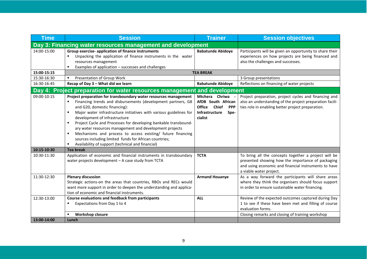| <b>Time</b>                                                 | <b>Session</b>                                                                                                                                                                                                                                                                                                                                                                                                                                                                                                                                                                                              | <b>Trainer</b>                                                                                                           | <b>Session objectives</b>                                                                                                                                                                    |  |
|-------------------------------------------------------------|-------------------------------------------------------------------------------------------------------------------------------------------------------------------------------------------------------------------------------------------------------------------------------------------------------------------------------------------------------------------------------------------------------------------------------------------------------------------------------------------------------------------------------------------------------------------------------------------------------------|--------------------------------------------------------------------------------------------------------------------------|----------------------------------------------------------------------------------------------------------------------------------------------------------------------------------------------|--|
| Day 3: Financing water resources management and development |                                                                                                                                                                                                                                                                                                                                                                                                                                                                                                                                                                                                             |                                                                                                                          |                                                                                                                                                                                              |  |
| 14:00-15:00                                                 | Group exercise- application of finance instruments<br>Unpacking the application of finance instruments in the water<br>$\blacksquare$<br>resources management<br>Examples of application - successes and challenges<br>٠                                                                                                                                                                                                                                                                                                                                                                                    | <b>Babatunde Abidoye</b>                                                                                                 | Participants will be given an opportunity to share their<br>experiences on how projects are being financed and<br>also the challenges and successes.                                         |  |
| 15:00-15:15                                                 |                                                                                                                                                                                                                                                                                                                                                                                                                                                                                                                                                                                                             | <b>TEA BREAK</b>                                                                                                         |                                                                                                                                                                                              |  |
| 15:30-16:30                                                 | Presentation of Group Work                                                                                                                                                                                                                                                                                                                                                                                                                                                                                                                                                                                  |                                                                                                                          | 3 Group presentations                                                                                                                                                                        |  |
| 16:30-16:45                                                 | Recap of Day 3 - What did we learn                                                                                                                                                                                                                                                                                                                                                                                                                                                                                                                                                                          | <b>Babatunde Abidoye</b>                                                                                                 | Reflections on financing of water projects                                                                                                                                                   |  |
|                                                             | Day 4: Project preparation for water resources management and development                                                                                                                                                                                                                                                                                                                                                                                                                                                                                                                                   |                                                                                                                          |                                                                                                                                                                                              |  |
| 09:00-10:15                                                 | Project preparation for transboundary water resources management<br>Financing trends and disbursements (development partners, G8<br>and G20, domestic financing):<br>Major water infrastructure initiatives with various guidelines for<br>development of infrastructure<br>Project Cycle and Processes for developing bankable transbound-<br>п<br>ary water resources management and development projects<br>Mechanisms and process to access existing/ future financing<br>$\blacksquare$<br>sources including limited funds for African countries;<br>Availability of support (technical and financial) | Mtchera Chriwa<br>AfDB South African<br><b>Office</b><br><b>Chief</b><br><b>PPP</b><br>Infrastructure<br>Spe-<br>cialist | Project preparation, project cycles and financing and<br>also an understanding of the project preparation facili-<br>ties role in enabling better project preparation.                       |  |
| 10:15-10:30                                                 | <b>Tea break</b>                                                                                                                                                                                                                                                                                                                                                                                                                                                                                                                                                                                            |                                                                                                                          |                                                                                                                                                                                              |  |
| 10:30-11:30                                                 | Application of economic and financial instruments in transboundary<br>water projects development - A case study from TCTA                                                                                                                                                                                                                                                                                                                                                                                                                                                                                   | <b>TCTA</b>                                                                                                              | To bring all the concepts together a project will be<br>presented showing how the importance of packaging<br>and using economic and financial instruments to have<br>a viable water project. |  |
| 11:30-12:30                                                 | <b>Plenary discussion</b><br>Strategic actions-on the areas that countries, RBOs and RECs would<br>want more support in order to deepen the understanding and applica-<br>tion of economic and financial instruments.                                                                                                                                                                                                                                                                                                                                                                                       | <b>Armand Houanye</b>                                                                                                    | As a way forward the participants will share areas<br>where they think the organisers should focus support<br>in order to ensure sustainable water financing.                                |  |
| 12:30-13:00                                                 | <b>Course evaluations and feedback from participants</b><br>Expectations from Day 1 to 4<br>٠                                                                                                                                                                                                                                                                                                                                                                                                                                                                                                               | <b>ALL</b>                                                                                                               | Review of the expected outcomes captured during Day<br>1 to see if these have been met and filling of course<br>evaluation forms.                                                            |  |
|                                                             | <b>Workshop closure</b>                                                                                                                                                                                                                                                                                                                                                                                                                                                                                                                                                                                     |                                                                                                                          | Closing remarks and closing of training workshop                                                                                                                                             |  |
| 13:00-14:00                                                 | Lunch                                                                                                                                                                                                                                                                                                                                                                                                                                                                                                                                                                                                       |                                                                                                                          |                                                                                                                                                                                              |  |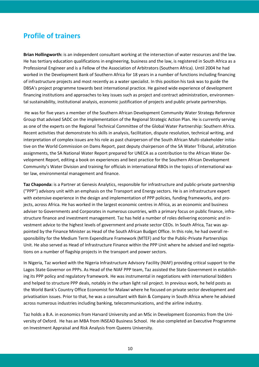### **Profile of trainers**

**Brian Hollingworth:** is an independent consultant working at the intersection of water resources and the law. He has tertiary education qualifications in engineering, business and the law, is registered in South Africa as a Professional Engineer and is a Fellow of the Association of Arbitrators (Southern Africa). Until 2004 he had worked in the Development Bank of Southern Africa for 18 years in a number of functions including financing of infrastructure projects and most recently as a water specialist. In this position his task was to guide the DBSA's project programme towards best international practice. He gained wide experience of development financing institutions and approaches to key issues such as project and contract administration, environmental sustainability, institutional analysis, economic justification of projects and public private partnerships.

He was for five years a member of the Southern African Development Community Water Strategy Reference Group that advised SADC on the implementation of the Regional Strategic Action Plan. He is currently serving as one of the experts on the Regional Technical Committee of the Global Water Partnership: Southern Africa. Recent activities that demonstrate his skills in analysis, facilitation, dispute resolution, technical writing, and interpretation of complex issues are his role as past chairperson of the South African Multi-stakeholder initiative on the World Commission on Dams Report, past deputy chairperson of the SA Water Tribunal, arbitration assignments, the SA National Water Report prepared for UNECA as a contribution to the African Water Development Report, editing a book on experiences and best practice for the Southern African Development Community's Water Division and training for officials in international RBOs in the topics of international water law, environmental management and finance.

**Taz Chaponda:** is a Partner at Genesis Analytics, responsible for infrastructure and public-private partnership ("PPP") advisory unit with an emphasis on the Transport and Energy sectors. He is an infrastructure expert with extensive experience in the design and implementation of PPP policies, funding frameworks, and projects, across Africa. He has worked in the largest economic centres in Africa, as an economic and business adviser to Governments and Corporates in numerous countries, with a primary focus on public finance, infrastructure finance and investment management. Taz has held a number of roles delivering economic and investment advice to the highest levels of government and private sector CEOs. In South Africa, Taz was appointed by the Finance Minister as Head of the South African Budget Office. In this role, he had overall responsibility for the Medium Term Expenditure Framework (MTEF) and for the Public-Private Partnerships Unit. He also served as Head of Infrastructure Finance within the PPP Unit where he advised and led negotiations on a number of flagship projects in the transport and power sectors.

In Nigeria, Taz worked with the Nigeria Infrastructure Advisory Facility (NIAF) providing critical support to the Lagos State Governor on PPPs. As Head of the NIAF PPP team, Taz assisted the State Government in establishing its PPP policy and regulatory framework. He was instrumental in negotiations with international bidders and helped to structure PPP deals, notably in the urban light rail project. In previous work, he held posts as the World Bank's Country Office Economist for Malawi where he focused on private sector development and privatisation issues. Prior to that, he was a consultant with Bain & Company in South Africa where he advised across numerous industries including banking, telecommunications, and the airline industry.

Taz holds a B.A. in economics from Harvard University and an MSc in Development Economics from the University of Oxford. He has an MBA from INSEAD Business School. He also completed an Executive Programme on Investment Appraisal and Risk Analysis from Queens University.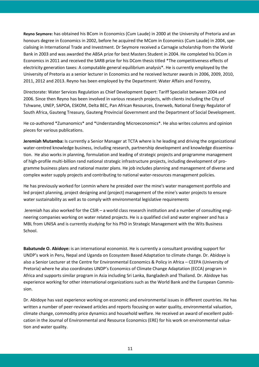**Reyno Seymore:** has obtained his BCom in Economics (Cum Laude) in 2000 at the University of Pretoria and an honours degree in Economics in 2002, before he acquired the MCom in Economics (Cum Laude) in 2004, specialising in International Trade and Investment. Dr Seymore received a Carnagie scholarship from the World Bank in 2003 and was awarded the ABSA prize for best Masters Student in 2004. He completed his DCom in Economics in 2011 and received the SARB prize for his DCom thesis titled \*The competitiveness effects of electricity generation taxes: A computable general equilibrium analysis\*. He is currently employed by the University of Pretoria as a senior lecturer in Economics and he received lecturer awards in 2006, 2009, 2010, 2011, 2012 and 2013. Reyno has been employed by the Department: Water Affairs and Forestry,

Directorate: Water Services Regulation as Chief Development Expert: Tariff Specialist between 2004 and 2006. Since then Reyno has been involved in various research projects, with clients including the City of Tshwane, UNEP, SAPOA, ESKOM, Delta BEC, Pan African Resources, Enerweb, National Energy Regulator of South Africa, Gauteng Treasury, Gauteng Provincial Government and the Department of Social Development.

He co-authored \*Zumanomics\* and \*Understanding Microeconomics\*. He also writes columns and opinion pieces for various publications.

**Jeremiah Mutamba:** Is currently a Senior Manager at TCTA where is he leading and driving the organizational water-centred knowledge business, including research, partnership development and knowledge dissemination. He also works in planning, formulation and leading of strategic projects and programme management of high-profile multi-billion rand national strategic infrastructure projects, including development of programme business plans and national master plans. He job includes planning and management of diverse and complex water supply projects and contributing to national water-resources management policies.

He has previously worked for Lonmin where he presided over the mine's water management portfolio and led project planning, project designing and (project) management of the mine's water projects to ensure water sustainability as well as to comply with environmental legislative requirements

Jeremiah has also worked for the CSIR – a world class research institution and a number of consulting engineering companies working on water related projects. He is a qualified civil and water engineer and has a MBL from UNISA and is currently studying for his PhD in Strategic Management with the Wits Business School.

**Babatunde O. Abidoye:** is an international economist. He is currently a consultant providing support for UNDP's work in Peru, Nepal and Uganda on Ecosystem Based Adaptation to climate change. Dr. Abidoye is also a Senior Lecturer at the Centre for Environmental Economics & Policy in Africa – CEEPA (University of Pretoria) where he also coordinates UNDP's Economics of Climate Change Adaptation (ECCA) program in Africa and supports similar program in Asia including Sri Lanka, Bangladesh and Thailand. Dr. Abidoye has experience working for other international organizations such as the World Bank and the European Commission.

Dr. Abidoye has vast experience working on economic and environmental issues in different countries. He has written a number of peer-reviewed articles and reports focusing on water quality, environmental valuation, climate change, commodity price dynamics and household welfare. He received an award of excellent publication in the Journal of Environmental and Resource Economics (ERE) for his work on environmental valuation and water quality.